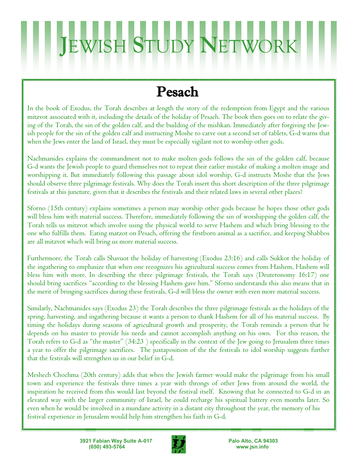## **JEWISH STUDY NETW**

### Pesach

In the book of Exodus, the Torah describes at length the story of the redemption from Egypt and the various mitzvot associated with it, including the details of the holiday of Pesach. The book then goes on to relate the giving of the Torah, the sin of the golden calf, and the building of the mishkan. Immediately after forgiving the Jewish people for the sin of the golden calf and instructing Moshe to carve out a second set of tablets, G-d warns that when the Jews enter the land of Israel, they must be especially vigilant not to worship other gods.

Nachmanides explains the commandment not to make molten gods follows the sin of the golden calf, because G-d wants the Jewish people to guard themselves not to repeat their earlier mistake of making a molten image and worshipping it. But immediately following this passage about idol worship, G-d instructs Moshe that the Jews should observe three pilgrimage festivals. Why does the Torah insert this short description of the three pilgrimage festivals at this juncture, given that it describes the festivals and their related laws in several other places?

Sforno (15th century) explains sometimes a person may worship other gods because he hopes those other gods will bless him with material success. Therefore, immediately following the sin of worshipping the golden calf, the Torah tells us mitzvot which involve using the physical world to serve Hashem and which bring blessing to the one who fulfills them. Eating matzot on Pesach, offering the firstborn animal as a sacrifice, and keeping Shabbos are all mitzvot which will bring us more material success.

Furthermore, the Torah calls Shavuot the holiday of harvesting (Exodus 23:16) and calls Sukkot the holiday of the ingathering to emphasize that when one recognizes his agricultural success comes from Hashem, Hashem will bless him with more. In describing the three pilgrimage festivals, the Torah says (Deuteronomy 16:17) one should bring sacrifices "according to the blessing Hashem gave him." Sforno understands this also means that in the merit of bringing sacrifices during these festivals, G-d will bless the owner with even more material success.

Similarly, Nachmanides says (Exodus 23) the Torah describes the three pilgrimage festivals as the holidays of the spring, harvesting, and ingathering because it wants a person to thank Hashem for all of his material success. By timing the holidays during seasons of agricultural growth and prosperity, the Torah reminds a person that he depends on his master to provide his needs and cannot accomplish anything on his own. For this reason, the Torah refers to G-d as "the master" (34:23 ) specifically in the context of the Jew going to Jerusalem three times a year to offer the pilgrimage sacrifices. The juxtaposition of the the festivals to idol worship suggests further that the festivals will strengthen us in our belief in G-d.

Meshech Chochma (20th century) adds that when the Jewish farmer would make the pilgrimage from his small town and experience the festivals three times a year with throngs of other Jews from around the world, the inspiration he received from this would last beyond the festival itself. Knowing that he connected to G-d in an elevated way with the larger community of Israel, he could recharge his spiritual battery even months later. So even when he would be involved in a mundane activity in a distant city throughout the year, the memory of his festival experience in Jerusalem would help him strengthen his faith in G-d.